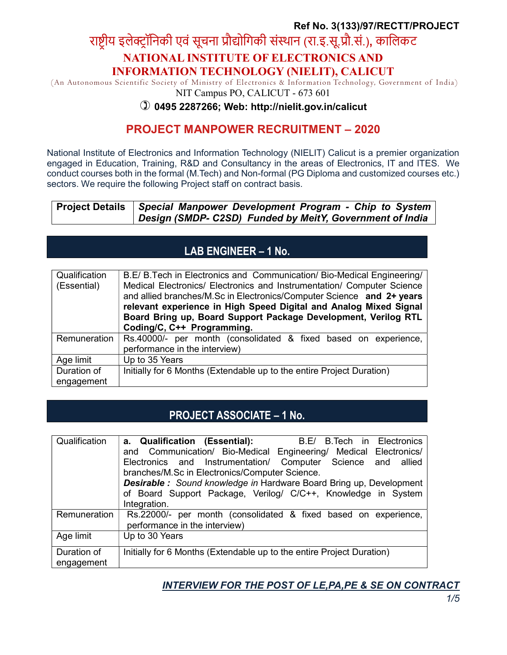### Ref No. 3(133)/97/RECTT/PROJECT

# राष्ट्रीय इलेक्ट्रॉनिकी एवं सूचना प्रौद्योगिकी संस्थान (रा.इ.सू.प्रौ.सं.), कालिकट NATIONAL INSTITUTE OF ELECTRONICS AND INFORMATION TECHNOLOGY (NIELIT), CALICUT

 (An Autonomous Scientific Society of Ministry of Electronics & Information Technology, Government of India) NIT Campus PO, CALICUT - 673 601

#### 0495 2287266; Web: http://nielit.gov.in/calicut

## PROJECT MANPOWER RECRUITMENT – 2020

National Institute of Electronics and Information Technology (NIELIT) Calicut is a premier organization engaged in Education, Training, R&D and Consultancy in the areas of Electronics, IT and ITES. We conduct courses both in the formal (M.Tech) and Non-formal (PG Diploma and customized courses etc.) sectors. We require the following Project staff on contract basis.

| Project Details   Special <i>Manpower Development Program - Chip to System</i> |  |  |  |
|--------------------------------------------------------------------------------|--|--|--|
| Design (SMDP- C2SD) Funded by MeitY, Government of India                       |  |  |  |

# LAB ENGINEER – 1 No.

| Qualification<br>(Essential) | B.E/ B. Tech in Electronics and Communication/ Bio-Medical Engineering/<br>Medical Electronics/ Electronics and Instrumentation/ Computer Science<br>and allied branches/M.Sc in Electronics/Computer Science and 2+ years<br>relevant experience in High Speed Digital and Analog Mixed Signal<br>Board Bring up, Board Support Package Development, Verilog RTL<br>Coding/C, C++ Programming. |  |  |  |
|------------------------------|-------------------------------------------------------------------------------------------------------------------------------------------------------------------------------------------------------------------------------------------------------------------------------------------------------------------------------------------------------------------------------------------------|--|--|--|
| Remuneration                 | Rs.40000/- per month (consolidated & fixed based on experience,<br>performance in the interview)                                                                                                                                                                                                                                                                                                |  |  |  |
| Age limit                    | Up to 35 Years                                                                                                                                                                                                                                                                                                                                                                                  |  |  |  |
| Duration of                  | Initially for 6 Months (Extendable up to the entire Project Duration)                                                                                                                                                                                                                                                                                                                           |  |  |  |
| engagement                   |                                                                                                                                                                                                                                                                                                                                                                                                 |  |  |  |

## PROJECT ASSOCIATE – 1 No.

| Qualification | a. Qualification (Essential):<br>B.E/ B.Tech in Electronics               |  |  |  |  |
|---------------|---------------------------------------------------------------------------|--|--|--|--|
|               | and Communication/ Bio-Medical Engineering/ Medical Electronics/          |  |  |  |  |
|               | Electronics and Instrumentation/ Computer Science and allied              |  |  |  |  |
|               | branches/M.Sc in Electronics/Computer Science.                            |  |  |  |  |
|               | <b>Desirable:</b> Sound knowledge in Hardware Board Bring up, Development |  |  |  |  |
|               | of Board Support Package, Verilog/ C/C++, Knowledge in System             |  |  |  |  |
|               | Integration.                                                              |  |  |  |  |
| Remuneration  | Rs.22000/- per month (consolidated & fixed based on experience,           |  |  |  |  |
|               | performance in the interview)                                             |  |  |  |  |
| Age limit     | Up to 30 Years                                                            |  |  |  |  |
| Duration of   | Initially for 6 Months (Extendable up to the entire Project Duration)     |  |  |  |  |
| engagement    |                                                                           |  |  |  |  |

INTERVIEW FOR THE POST OF LE,PA,PE & SE ON CONTRACT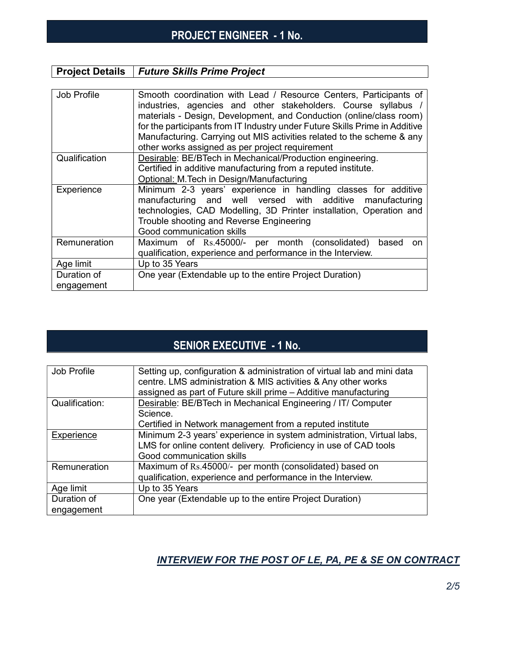# PROJECT ENGINEER - 1 No.

### **Project Details | Future Skills Prime Project**

| Job Profile               | Smooth coordination with Lead / Resource Centers, Participants of<br>industries, agencies and other stakeholders. Course syllabus /<br>materials - Design, Development, and Conduction (online/class room)<br>for the participants from IT Industry under Future Skills Prime in Additive<br>Manufacturing. Carrying out MIS activities related to the scheme & any<br>other works assigned as per project requirement |  |  |
|---------------------------|------------------------------------------------------------------------------------------------------------------------------------------------------------------------------------------------------------------------------------------------------------------------------------------------------------------------------------------------------------------------------------------------------------------------|--|--|
| Qualification             | Desirable: BE/BTech in Mechanical/Production engineering.<br>Certified in additive manufacturing from a reputed institute.<br>Optional: M. Tech in Design/Manufacturing                                                                                                                                                                                                                                                |  |  |
| Experience                | Minimum 2-3 years' experience in handling classes for additive<br>manufacturing and well versed with additive manufacturing<br>technologies, CAD Modelling, 3D Printer installation, Operation and<br>Trouble shooting and Reverse Engineering<br>Good communication skills                                                                                                                                            |  |  |
| Remuneration              | Maximum of Rs.45000/- per month (consolidated)<br>based<br>on<br>qualification, experience and performance in the Interview.                                                                                                                                                                                                                                                                                           |  |  |
| Age limit                 | Up to 35 Years                                                                                                                                                                                                                                                                                                                                                                                                         |  |  |
| Duration of<br>engagement | One year (Extendable up to the entire Project Duration)                                                                                                                                                                                                                                                                                                                                                                |  |  |

# SENIOR EXECUTIVE - 1 No.

| Job Profile               | Setting up, configuration & administration of virtual lab and mini data<br>centre. LMS administration & MIS activities & Any other works<br>assigned as part of Future skill prime - Additive manufacturing |
|---------------------------|-------------------------------------------------------------------------------------------------------------------------------------------------------------------------------------------------------------|
| Qualification:            | Desirable: BE/BTech in Mechanical Engineering / IT/ Computer<br>Science.<br>Certified in Network management from a reputed institute                                                                        |
| Experience                | Minimum 2-3 years' experience in system administration, Virtual labs,<br>LMS for online content delivery. Proficiency in use of CAD tools<br>Good communication skills                                      |
| Remuneration              | Maximum of Rs.45000/- per month (consolidated) based on<br>qualification, experience and performance in the Interview.                                                                                      |
| Age limit                 | Up to 35 Years                                                                                                                                                                                              |
| Duration of<br>engagement | One year (Extendable up to the entire Project Duration)                                                                                                                                                     |

### INTERVIEW FOR THE POST OF LE, PA, PE & SE ON CONTRACT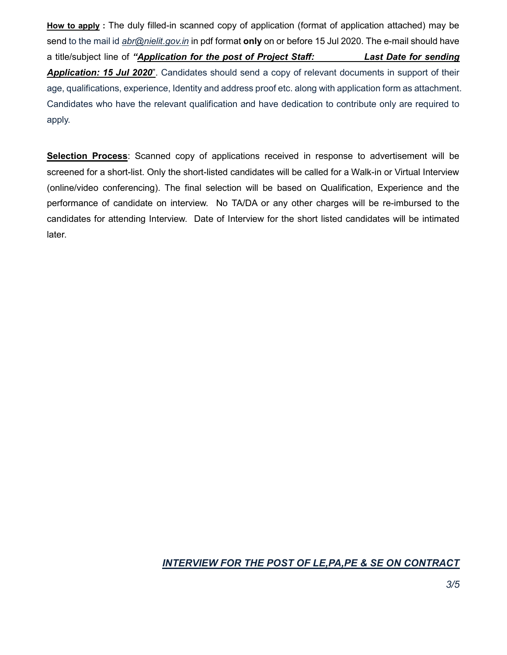How to apply : The duly filled-in scanned copy of application (format of application attached) may be send to the mail id abr@nielit.gov.in in pdf format only on or before 15 Jul 2020. The e-mail should have a title/subject line of "Application for the post of Project Staff: Last Date for sending Application: 15 Jul 2020". Candidates should send a copy of relevant documents in support of their age, qualifications, experience, Identity and address proof etc. along with application form as attachment. Candidates who have the relevant qualification and have dedication to contribute only are required to apply.

Selection Process: Scanned copy of applications received in response to advertisement will be screened for a short-list. Only the short-listed candidates will be called for a Walk-in or Virtual Interview (online/video conferencing). The final selection will be based on Qualification, Experience and the performance of candidate on interview. No TA/DA or any other charges will be re-imbursed to the candidates for attending Interview. Date of Interview for the short listed candidates will be intimated later.

## INTERVIEW FOR THE POST OF LE,PA,PE & SE ON CONTRACT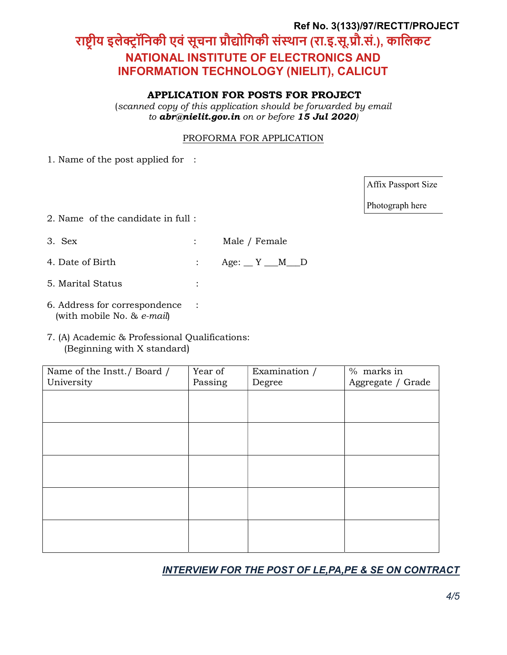## Ref No. 3(133)/97/RECTT/PROJECT

# राष्ट्रीय इलेक्ट्रॉनिकी एवं सूचना प्रौद्योगिकी संस्थान (रा.इ.सू.प्रौ.सं.), कालिकट NATIONAL INSTITUTE OF ELECTRONICS AND INFORMATION TECHNOLOGY (NIELIT), CALICUT

#### APPLICATION FOR POSTS FOR PROJECT

(scanned copy of this application should be forwarded by email to abr@nielit.gov.in on or before 15 Jul 2020)

#### PROFORMA FOR APPLICATION

1. Name of the post applied for :

Affix Passport Size

Photograph here

- 2. Name of the candidate in full :
- 3. Sex : Male / Female
- 4. Date of Birth : Age: \_ Y \_\_ M \_\_ D
- 5. Marital Status :
- 6. Address for correspondence : (with mobile No. & e-mail)
- 7. (A) Academic & Professional Qualifications: (Beginning with X standard)

| Name of the Instt./ Board /<br>University | Year of<br>Passing | Examination /<br>Degree | % marks in<br>Aggregate / Grade |
|-------------------------------------------|--------------------|-------------------------|---------------------------------|
|                                           |                    |                         |                                 |
|                                           |                    |                         |                                 |
|                                           |                    |                         |                                 |
|                                           |                    |                         |                                 |
|                                           |                    |                         |                                 |

### INTERVIEW FOR THE POST OF LE,PA,PE & SE ON CONTRACT

4/5